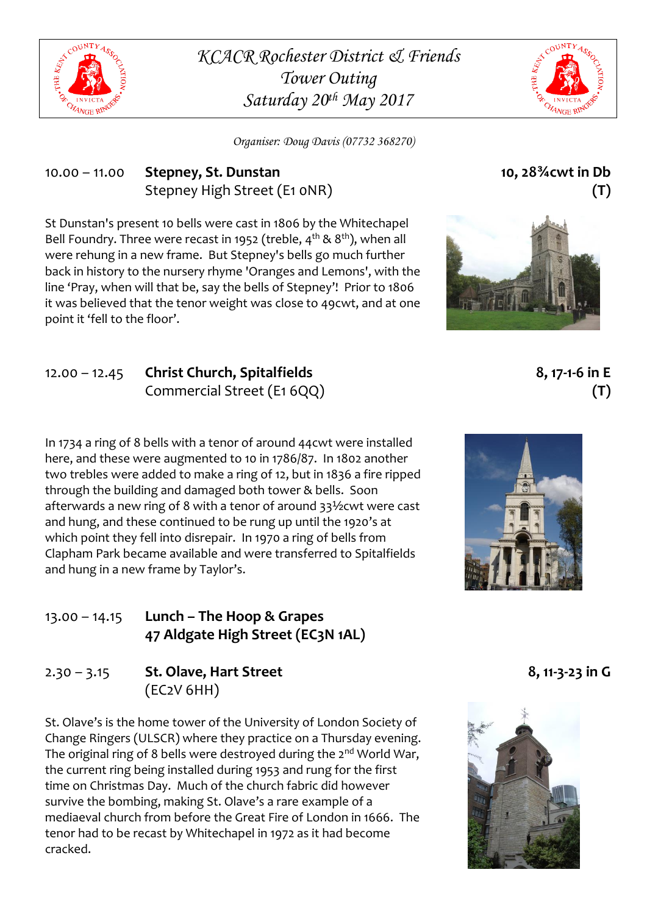

*KCACR Rochester District & Friends Tower Outing Saturday 20th May 2017*



*Organiser: Doug Davis (07732 368270)*

#### 10.00 – 11.00 **Stepney, St. Dunstan** Stepney High Street (E1 0NR)

St Dunstan's present 10 bells were cast in 1806 by the Whitechapel Bell Foundry. Three were recast in 1952 (treble,  $4^{th}$  &  $8^{th}$ ), when all were rehung in a new frame. But Stepney's bells go much further back in history to the nursery rhyme 'Oranges and Lemons', with the line 'Pray, when will that be, say the bells of Stepney'! Prior to 1806 it was believed that the tenor weight was close to 49cwt, and at one point it 'fell to the floor'.

12.00 – 12.45 **Christ Church, Spitalfields** Commercial Street (E1 6QQ)

In 1734 a ring of 8 bells with a tenor of around 44cwt were installed here, and these were augmented to 10 in 1786/87. In 1802 another two trebles were added to make a ring of 12, but in 1836 a fire ripped through the building and damaged both tower & bells. Soon afterwards a new ring of 8 with a tenor of around 33½cwt were cast and hung, and these continued to be rung up until the 1920's at which point they fell into disrepair. In 1970 a ring of bells from Clapham Park became available and were transferred to Spitalfields and hung in a new frame by Taylor's.

#### 13.00 – 14.15 **Lunch – The Hoop & Grapes 47 Aldgate High Street (EC3N 1AL)**

# 2.30 – 3.15 **St. Olave, Hart Street** (EC2V 6HH)

St. Olave's is the home tower of the University of London Society of Change Ringers (ULSCR) where they practice on a Thursday evening. The original ring of 8 bells were destroyed during the 2<sup>nd</sup> World War, the current ring being installed during 1953 and rung for the first time on Christmas Day. Much of the church fabric did however survive the bombing, making St. Olave's a rare example of a mediaeval church from before the Great Fire of London in 1666. The tenor had to be recast by Whitechapel in 1972 as it had become cracked.

**10, 28¾cwt in Db (T)**



**8, 17-1-6 in E (T)**



**8, 11-3-23 in G**